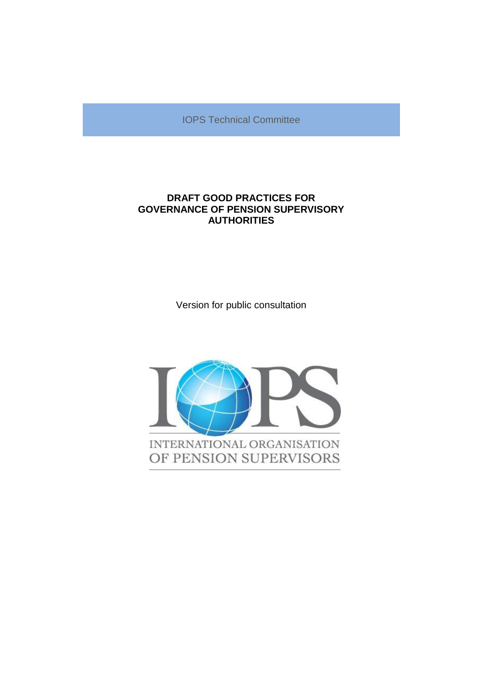IOPS Technical Committee

# **DRAFT GOOD PRACTICES FOR GOVERNANCE OF PENSION SUPERVISORY AUTHORITIES**

Version for public consultation

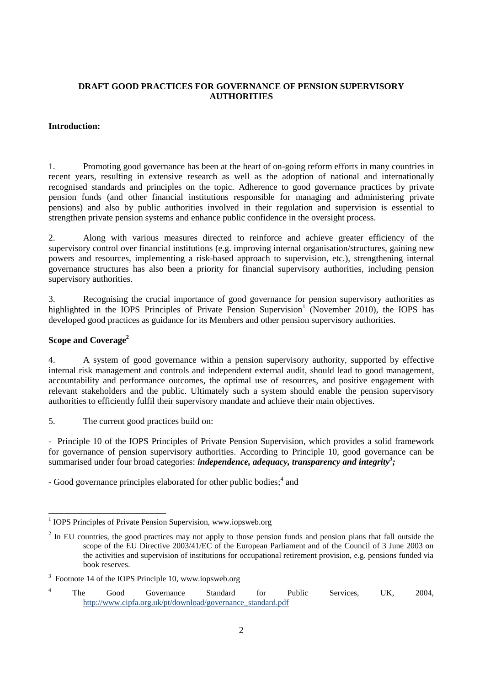### **DRAFT GOOD PRACTICES FOR GOVERNANCE OF PENSION SUPERVISORY AUTHORITIES**

#### **Introduction:**

1. Promoting good governance has been at the heart of on-going reform efforts in many countries in recent years, resulting in extensive research as well as the adoption of national and internationally recognised standards and principles on the topic. Adherence to good governance practices by private pension funds (and other financial institutions responsible for managing and administering private pensions) and also by public authorities involved in their regulation and supervision is essential to strengthen private pension systems and enhance public confidence in the oversight process.

2. Along with various measures directed to reinforce and achieve greater efficiency of the supervisory control over financial institutions (e.g. improving internal organisation/structures, gaining new powers and resources, implementing a risk-based approach to supervision, etc.), strengthening internal governance structures has also been a priority for financial supervisory authorities, including pension supervisory authorities.

3. Recognising the crucial importance of good governance for pension supervisory authorities as highlighted in the IOPS Principles of Private Pension Supervision<sup>1</sup> (November 2010), the IOPS has developed good practices as guidance for its Members and other pension supervisory authorities.

### **Scope and Coverage<sup>2</sup>**

4. A system of good governance within a pension supervisory authority, supported by effective internal risk management and controls and independent external audit, should lead to good management, accountability and performance outcomes, the optimal use of resources, and positive engagement with relevant stakeholders and the public. Ultimately such a system should enable the pension supervisory authorities to efficiently fulfil their supervisory mandate and achieve their main objectives.

5. The current good practices build on:

- Principle 10 of the IOPS Principles of Private Pension Supervision, which provides a solid framework for governance of pension supervisory authorities. According to Principle 10, good governance can be summarised under four broad categories: *independence, adequacy, transparency and integrity<sup>3</sup> ;*

- Good governance principles elaborated for other public bodies;<sup>4</sup> and

 1 IOPS Principles of Private Pension Supervision, www.iopsweb.org

 $2$  In EU countries, the good practices may not apply to those pension funds and pension plans that fall outside the scope of the EU Directive 2003/41/EC of the European Parliament and of the Council of 3 June 2003 on the activities and supervision of institutions for occupational retirement provision, e.g. pensions funded via book reserves.

<sup>&</sup>lt;sup>3</sup> Footnote 14 of the IOPS Principle 10, www.iopsweb.org

<sup>&</sup>lt;sup>4</sup> The Good Governance Standard for Public Services, UK, 2004, [http://www.cipfa.org.uk/pt/download/governance\\_standard.pdf](http://www.cipfa.org.uk/pt/download/governance_standard.pdf)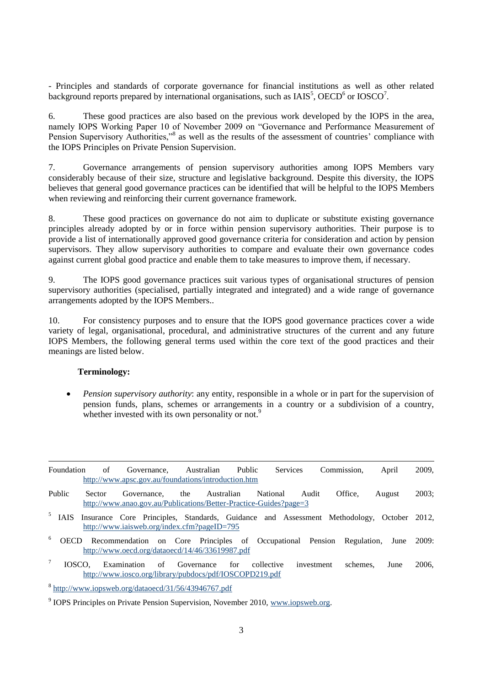- Principles and standards of corporate governance for financial institutions as well as other related background reports prepared by international organisations, such as  $IAIS<sup>5</sup>$ , OECD<sup>6</sup> or IOSCO<sup>7</sup>.

6. These good practices are also based on the previous work developed by the IOPS in the area, namely IOPS Working Paper 10 of November 2009 on "Governance and Performance Measurement of Pension Supervisory Authorities,"<sup>8</sup> as well as the results of the assessment of countries' compliance with the IOPS Principles on Private Pension Supervision.

7. Governance arrangements of pension supervisory authorities among IOPS Members vary considerably because of their size, structure and legislative background. Despite this diversity, the IOPS believes that general good governance practices can be identified that will be helpful to the IOPS Members when reviewing and reinforcing their current governance framework.

8. These good practices on governance do not aim to duplicate or substitute existing governance principles already adopted by or in force within pension supervisory authorities. Their purpose is to provide a list of internationally approved good governance criteria for consideration and action by pension supervisors. They allow supervisory authorities to compare and evaluate their own governance codes against current global good practice and enable them to take measures to improve them, if necessary.

9. The IOPS good governance practices suit various types of organisational structures of pension supervisory authorities (specialised, partially integrated and integrated) and a wide range of governance arrangements adopted by the IOPS Members..

10. For consistency purposes and to ensure that the IOPS good governance practices cover a wide variety of legal, organisational, procedural, and administrative structures of the current and any future IOPS Members, the following general terms used within the core text of the good practices and their meanings are listed below.

#### **Terminology:**

 *Pension supervisory authority*: any entity, responsible in a whole or in part for the supervision of pension funds, plans, schemes or arrangements in a country or a subdivision of a country, whether invested with its own personality or not.<sup>9</sup>

| Foundation       | of     | Governance.<br>http://www.apsc.gov.au/foundations/introduction.htm                                                                      | Australian        | <b>Public</b> | <b>Services</b> | Commission.      | April               | 2009, |
|------------------|--------|-----------------------------------------------------------------------------------------------------------------------------------------|-------------------|---------------|-----------------|------------------|---------------------|-------|
| Public           | Sector | Governance.<br>http://www.anao.gov.au/Publications/Better-Practice-Guides?page=3                                                        | the<br>Australian |               | <b>National</b> | Office.<br>Audit | August              | 2003: |
| IAIS             |        | Insurance Core Principles, Standards, Guidance and Assessment Methodology, October 2012,<br>http://www.iaisweb.org/index.cfm?pageID=795 |                   |               |                 |                  |                     |       |
| 6<br><b>OECD</b> |        | Recommendation on Core Principles of Occupational Pension<br>http://www.oecd.org/dataoecd/14/46/33619987.pdf                            |                   |               |                 |                  | Regulation,<br>June | 2009: |
| $\tau$           | IOSCO. | Examination<br>$\sigma$<br>http://www.iosco.org/library/pubdocs/pdf/IOSCOPD219.pdf                                                      | Governance        | for           | collective      | investment       | schemes.<br>June    | 2006. |

8 <http://www.iopsweb.org/dataoecd/31/56/43946767.pdf>

<sup>&</sup>lt;sup>9</sup> IOPS Principles on Private Pension Supervision, November 2010, [www.iopsweb.org.](http://www.iopsweb.org/)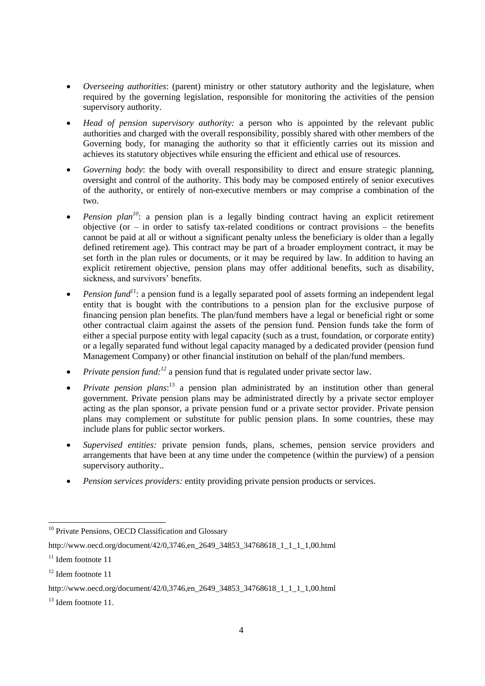- *Overseeing authorities*: (parent) ministry or other statutory authority and the legislature, when required by the governing legislation, responsible for monitoring the activities of the pension supervisory authority.
- *Head of pension supervisory authority:* a person who is appointed by the relevant public authorities and charged with the overall responsibility, possibly shared with other members of the Governing body, for managing the authority so that it efficiently carries out its mission and achieves its statutory objectives while ensuring the efficient and ethical use of resources.
- *Governing body*: the body with overall responsibility to direct and ensure strategic planning, oversight and control of the authority. This body may be composed entirely of senior executives of the authority, or entirely of non-executive members or may comprise a combination of the two.
- *Pension plan<sup>10</sup>*: a pension plan is a legally binding contract having an explicit retirement objective (or  $-$  in order to satisfy tax-related conditions or contract provisions  $-$  the benefits cannot be paid at all or without a significant penalty unless the beneficiary is older than a legally defined retirement age). This contract may be part of a broader employment contract, it may be set forth in the plan rules or documents, or it may be required by law. In addition to having an explicit retirement objective, pension plans may offer additional benefits, such as disability, sickness, and survivors' benefits.
- **Pension fund<sup>11</sup>**: a pension fund is a legally separated pool of assets forming an independent legal entity that is bought with the contributions to a pension plan for the exclusive purpose of financing pension plan benefits. The plan/fund members have a legal or beneficial right or some other contractual claim against the assets of the pension fund. Pension funds take the form of either a special purpose entity with legal capacity (such as a trust, foundation, or corporate entity) or a legally separated fund without legal capacity managed by a dedicated provider (pension fund Management Company) or other financial institution on behalf of the plan/fund members.
- *Private pension fund*:<sup>12</sup> a pension fund that is regulated under private sector law.
- *Private pension plans*:<sup>13</sup> a pension plan administrated by an institution other than general government. Private pension plans may be administrated directly by a private sector employer acting as the plan sponsor, a private pension fund or a private sector provider. Private pension plans may complement or substitute for public pension plans. In some countries, these may include plans for public sector workers.
- *Supervised entities:* private pension funds, plans, schemes, pension service providers and arrangements that have been at any time under the competence (within the purview) of a pension supervisory authority..
- *Pension services providers:* entity providing private pension products or services.

<sup>&</sup>lt;sup>10</sup> Private Pensions, OECD Classification and Glossary

http://www.oecd.org/document/42/0,3746.en\_2649\_34853\_34768618\_1\_1\_1\_1,00.html

<sup>&</sup>lt;sup>11</sup> Idem footnote 11

<sup>&</sup>lt;sup>12</sup> Idem footnote 11

http://www.oecd.org/document/42/0,3746,en\_2649\_34853\_34768618\_1\_1\_1\_1,00.html

<sup>&</sup>lt;sup>13</sup> Idem footnote 11.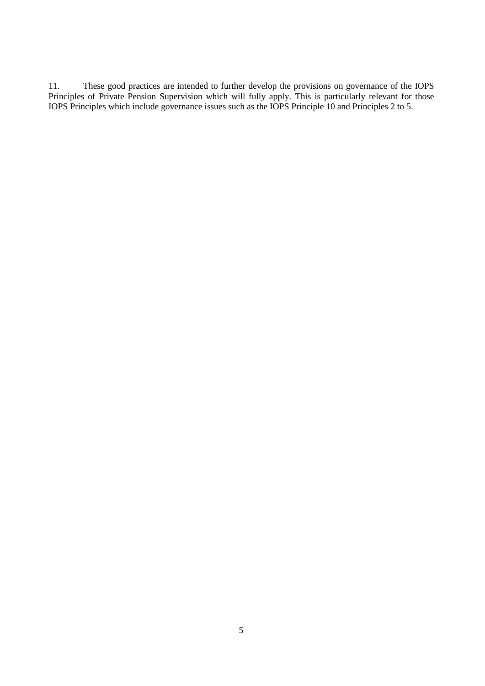11. These good practices are intended to further develop the provisions on governance of the IOPS Principles of Private Pension Supervision which will fully apply. This is particularly relevant for those IOPS Principles which include governance issues such as the IOPS Principle 10 and Principles 2 to 5.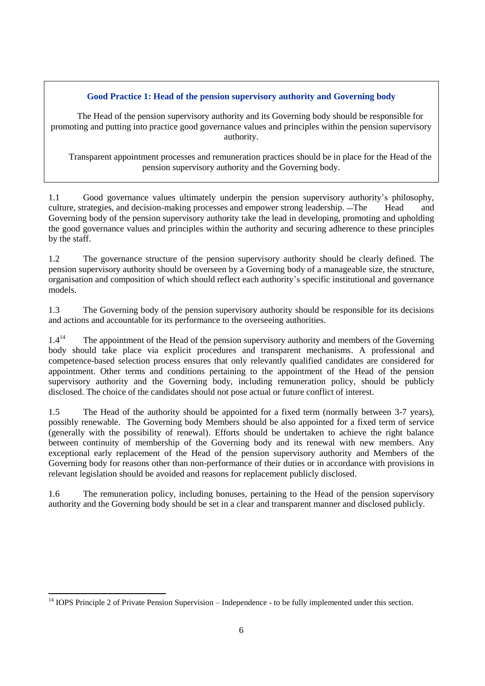## **Good Practice 1: Head of the pension supervisory authority and Governing body**

The Head of the pension supervisory authority and its Governing body should be responsible for promoting and putting into practice good governance values and principles within the pension supervisory authority.

Transparent appointment processes and remuneration practices should be in place for the Head of the pension supervisory authority and the Governing body.

1.1 Good governance values ultimately underpin the pension supervisory authority's philosophy, culture, strategies, and decision-making processes and empower strong leadership. —The Head and Governing body of the pension supervisory authority take the lead in developing, promoting and upholding the good governance values and principles within the authority and securing adherence to these principles by the staff.

1.2 The governance structure of the pension supervisory authority should be clearly defined. The pension supervisory authority should be overseen by a Governing body of a manageable size, the structure, organisation and composition of which should reflect each authority's specific institutional and governance models.

1.3 The Governing body of the pension supervisory authority should be responsible for its decisions and actions and accountable for its performance to the overseeing authorities.

 $1.4^{14}$ <sup>14</sup> The appointment of the Head of the pension supervisory authority and members of the Governing body should take place via explicit procedures and transparent mechanisms. A professional and competence-based selection process ensures that only relevantly qualified candidates are considered for appointment. Other terms and conditions pertaining to the appointment of the Head of the pension supervisory authority and the Governing body, including remuneration policy, should be publicly disclosed. The choice of the candidates should not pose actual or future conflict of interest.

1.5 The Head of the authority should be appointed for a fixed term (normally between 3-7 years), possibly renewable. The Governing body Members should be also appointed for a fixed term of service (generally with the possibility of renewal). Efforts should be undertaken to achieve the right balance between continuity of membership of the Governing body and its renewal with new members. Any exceptional early replacement of the Head of the pension supervisory authority and Members of the Governing body for reasons other than non-performance of their duties or in accordance with provisions in relevant legislation should be avoided and reasons for replacement publicly disclosed.

1.6 The remuneration policy, including bonuses, pertaining to the Head of the pension supervisory authority and the Governing body should be set in a clear and transparent manner and disclosed publicly.

 $\overline{a}$ 

 $14$  IOPS Principle 2 of Private Pension Supervision – Independence - to be fully implemented under this section.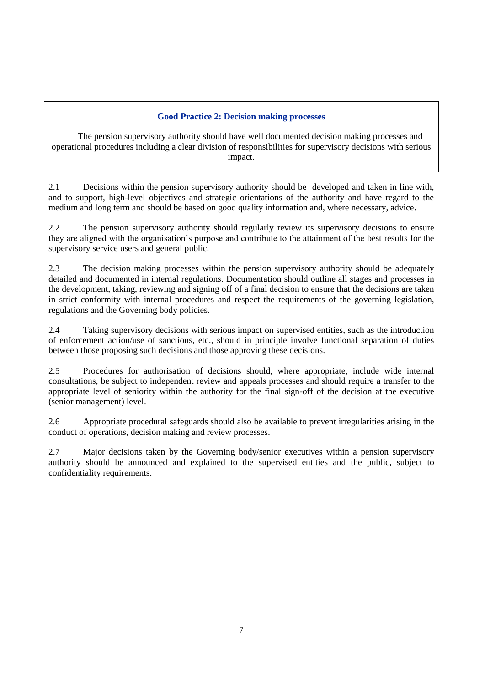### **Good Practice 2: Decision making processes**

The pension supervisory authority should have well documented decision making processes and operational procedures including a clear division of responsibilities for supervisory decisions with serious impact.

2.1 Decisions within the pension supervisory authority should be developed and taken in line with, and to support, high-level objectives and strategic orientations of the authority and have regard to the medium and long term and should be based on good quality information and, where necessary, advice.

2.2 The pension supervisory authority should regularly review its supervisory decisions to ensure they are aligned with the organisation's purpose and contribute to the attainment of the best results for the supervisory service users and general public.

2.3 The decision making processes within the pension supervisory authority should be adequately detailed and documented in internal regulations. Documentation should outline all stages and processes in the development, taking, reviewing and signing off of a final decision to ensure that the decisions are taken in strict conformity with internal procedures and respect the requirements of the governing legislation, regulations and the Governing body policies.

2.4 Taking supervisory decisions with serious impact on supervised entities, such as the introduction of enforcement action/use of sanctions, etc., should in principle involve functional separation of duties between those proposing such decisions and those approving these decisions.

2.5 Procedures for authorisation of decisions should, where appropriate, include wide internal consultations, be subject to independent review and appeals processes and should require a transfer to the appropriate level of seniority within the authority for the final sign-off of the decision at the executive (senior management) level.

2.6 Appropriate procedural safeguards should also be available to prevent irregularities arising in the conduct of operations, decision making and review processes.

2.7 Major decisions taken by the Governing body/senior executives within a pension supervisory authority should be announced and explained to the supervised entities and the public, subject to confidentiality requirements.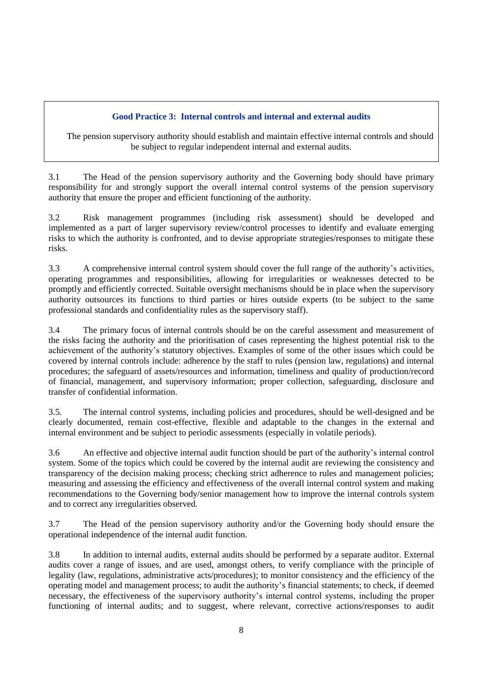## **Good Practice 3: Internal controls and internal and external audits**

The pension supervisory authority should establish and maintain effective internal controls and should be subject to regular independent internal and external audits.

3.1 The Head of the pension supervisory authority and the Governing body should have primary responsibility for and strongly support the overall internal control systems of the pension supervisory authority that ensure the proper and efficient functioning of the authority.

3.2 Risk management programmes (including risk assessment) should be developed and implemented as a part of larger supervisory review/control processes to identify and evaluate emerging risks to which the authority is confronted, and to devise appropriate strategies/responses to mitigate these risks.

3.3 A comprehensive internal control system should cover the full range of the authority's activities, operating programmes and responsibilities, allowing for irregularities or weaknesses detected to be promptly and efficiently corrected. Suitable oversight mechanisms should be in place when the supervisory authority outsources its functions to third parties or hires outside experts (to be subject to the same professional standards and confidentiality rules as the supervisory staff).

3.4 The primary focus of internal controls should be on the careful assessment and measurement of the risks facing the authority and the prioritisation of cases representing the highest potential risk to the achievement of the authority's statutory objectives. Examples of some of the other issues which could be covered by internal controls include: adherence by the staff to rules (pension law, regulations) and internal procedures; the safeguard of assets/resources and information, timeliness and quality of production/record of financial, management, and supervisory information; proper collection, safeguarding, disclosure and transfer of confidential information.

3.5. The internal control systems, including policies and procedures, should be well-designed and be clearly documented, remain cost-effective, flexible and adaptable to the changes in the external and internal environment and be subject to periodic assessments (especially in volatile periods).

3.6 An effective and objective internal audit function should be part of the authority's internal control system. Some of the topics which could be covered by the internal audit are reviewing the consistency and transparency of the decision making process; checking strict adherence to rules and management policies; measuring and assessing the efficiency and effectiveness of the overall internal control system and making recommendations to the Governing body/senior management how to improve the internal controls system and to correct any irregularities observed.

3.7 The Head of the pension supervisory authority and/or the Governing body should ensure the operational independence of the internal audit function.

3.8 In addition to internal audits, external audits should be performed by a separate auditor. External audits cover a range of issues, and are used, amongst others, to verify compliance with the principle of legality (law, regulations, administrative acts/procedures); to monitor consistency and the efficiency of the operating model and management process; to audit the authority's financial statements; to check, if deemed necessary, the effectiveness of the supervisory authority's internal control systems, including the proper functioning of internal audits; and to suggest, where relevant, corrective actions/responses to audit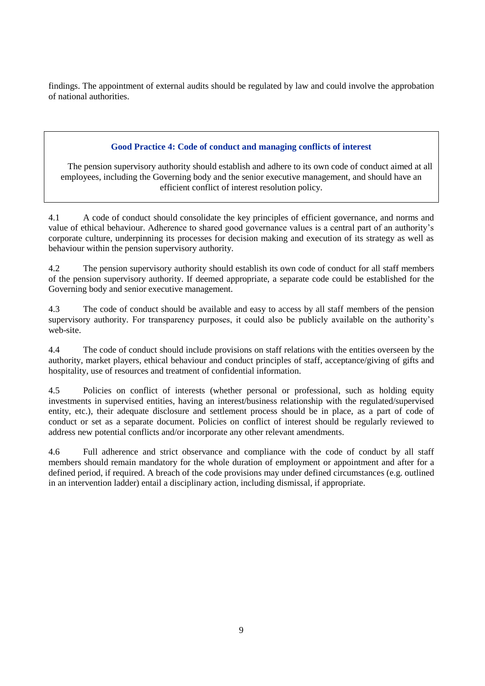findings. The appointment of external audits should be regulated by law and could involve the approbation of national authorities.

### **Good Practice 4: Code of conduct and managing conflicts of interest**

The pension supervisory authority should establish and adhere to its own code of conduct aimed at all employees, including the Governing body and the senior executive management, and should have an efficient conflict of interest resolution policy.

4.1 A code of conduct should consolidate the key principles of efficient governance, and norms and value of ethical behaviour. Adherence to shared good governance values is a central part of an authority's corporate culture, underpinning its processes for decision making and execution of its strategy as well as behaviour within the pension supervisory authority.

4.2 The pension supervisory authority should establish its own code of conduct for all staff members of the pension supervisory authority. If deemed appropriate, a separate code could be established for the Governing body and senior executive management.

4.3 The code of conduct should be available and easy to access by all staff members of the pension supervisory authority. For transparency purposes, it could also be publicly available on the authority's web-site.

4.4 The code of conduct should include provisions on staff relations with the entities overseen by the authority, market players, ethical behaviour and conduct principles of staff, acceptance/giving of gifts and hospitality, use of resources and treatment of confidential information.

4.5 Policies on conflict of interests (whether personal or professional, such as holding equity investments in supervised entities, having an interest/business relationship with the regulated/supervised entity, etc.), their adequate disclosure and settlement process should be in place, as a part of code of conduct or set as a separate document. Policies on conflict of interest should be regularly reviewed to address new potential conflicts and/or incorporate any other relevant amendments.

4.6 Full adherence and strict observance and compliance with the code of conduct by all staff members should remain mandatory for the whole duration of employment or appointment and after for a defined period, if required. A breach of the code provisions may under defined circumstances (e.g. outlined in an intervention ladder) entail a disciplinary action, including dismissal, if appropriate.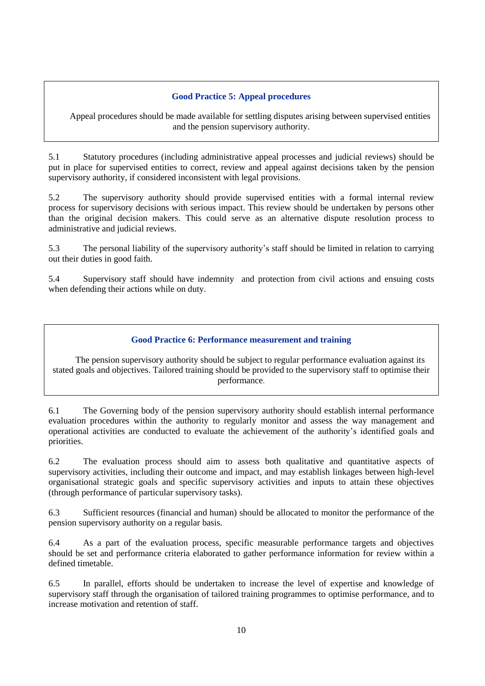### **Good Practice 5: Appeal procedures**

Appeal procedures should be made available for settling disputes arising between supervised entities and the pension supervisory authority.

5.1 Statutory procedures (including administrative appeal processes and judicial reviews) should be put in place for supervised entities to correct, review and appeal against decisions taken by the pension supervisory authority, if considered inconsistent with legal provisions.

5.2 The supervisory authority should provide supervised entities with a formal internal review process for supervisory decisions with serious impact. This review should be undertaken by persons other than the original decision makers. This could serve as an alternative dispute resolution process to administrative and judicial reviews.

5.3 The personal liability of the supervisory authority's staff should be limited in relation to carrying out their duties in good faith.

5.4 Supervisory staff should have indemnity and protection from civil actions and ensuing costs when defending their actions while on duty.

#### **Good Practice 6: Performance measurement and training**

The pension supervisory authority should be subject to regular performance evaluation against its stated goals and objectives. Tailored training should be provided to the supervisory staff to optimise their performance.

6.1 The Governing body of the pension supervisory authority should establish internal performance evaluation procedures within the authority to regularly monitor and assess the way management and operational activities are conducted to evaluate the achievement of the authority's identified goals and priorities.

6.2 The evaluation process should aim to assess both qualitative and quantitative aspects of supervisory activities, including their outcome and impact, and may establish linkages between high-level organisational strategic goals and specific supervisory activities and inputs to attain these objectives (through performance of particular supervisory tasks).

6.3 Sufficient resources (financial and human) should be allocated to monitor the performance of the pension supervisory authority on a regular basis.

6.4 As a part of the evaluation process, specific measurable performance targets and objectives should be set and performance criteria elaborated to gather performance information for review within a defined timetable.

6.5 In parallel, efforts should be undertaken to increase the level of expertise and knowledge of supervisory staff through the organisation of tailored training programmes to optimise performance, and to increase motivation and retention of staff.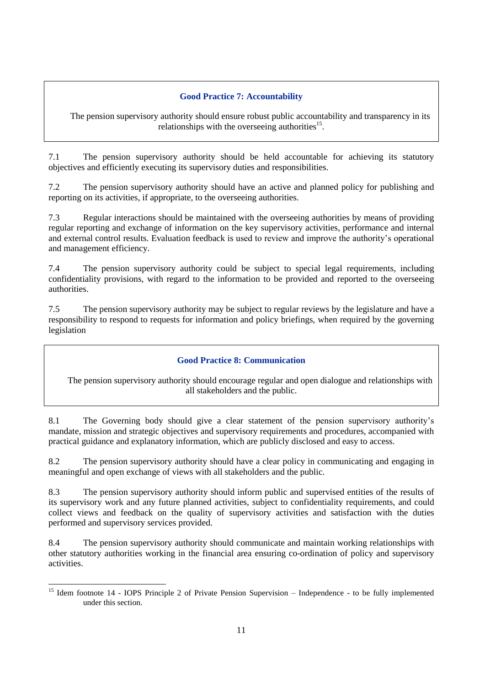## **Good Practice 7: Accountability**

The pension supervisory authority should ensure robust public accountability and transparency in its relationships with the overseeing authorities $15$ .

7.1 The pension supervisory authority should be held accountable for achieving its statutory objectives and efficiently executing its supervisory duties and responsibilities.

7.2 The pension supervisory authority should have an active and planned policy for publishing and reporting on its activities, if appropriate, to the overseeing authorities.

7.3 Regular interactions should be maintained with the overseeing authorities by means of providing regular reporting and exchange of information on the key supervisory activities, performance and internal and external control results. Evaluation feedback is used to review and improve the authority's operational and management efficiency.

7.4 The pension supervisory authority could be subject to special legal requirements, including confidentiality provisions, with regard to the information to be provided and reported to the overseeing authorities.

7.5 The pension supervisory authority may be subject to regular reviews by the legislature and have a responsibility to respond to requests for information and policy briefings, when required by the governing legislation

### **Good Practice 8: Communication**

The pension supervisory authority should encourage regular and open dialogue and relationships with all stakeholders and the public.

8.1 The Governing body should give a clear statement of the pension supervisory authority's mandate, mission and strategic objectives and supervisory requirements and procedures, accompanied with practical guidance and explanatory information, which are publicly disclosed and easy to access.

8.2 The pension supervisory authority should have a clear policy in communicating and engaging in meaningful and open exchange of views with all stakeholders and the public.

8.3 The pension supervisory authority should inform public and supervised entities of the results of its supervisory work and any future planned activities, subject to confidentiality requirements, and could collect views and feedback on the quality of supervisory activities and satisfaction with the duties performed and supervisory services provided.

8.4 The pension supervisory authority should communicate and maintain working relationships with other statutory authorities working in the financial area ensuring co-ordination of policy and supervisory activities.

<sup>&</sup>lt;sup>15</sup> Idem footnote 14 - IOPS Principle 2 of Private Pension Supervision – Independence - to be fully implemented under this section.